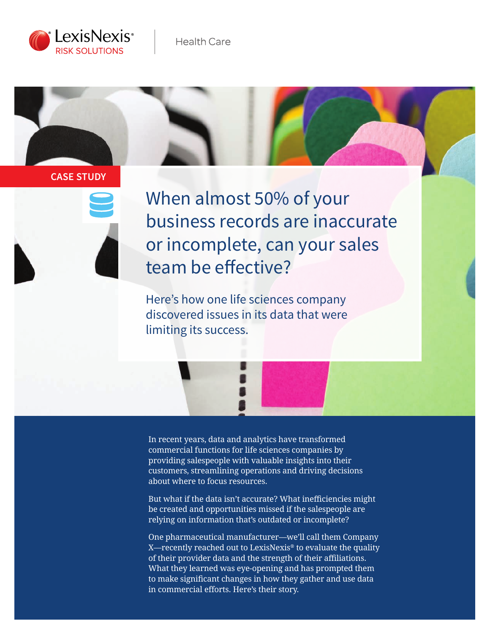



### **CASE STUDY**



When almost 50% of your business records are inaccurate or incomplete, can your sales team be effective?

Here's how one life sciences company discovered issues in its data that were limiting its success.

In recent years, data and analytics have transformed commercial functions for life sciences companies by providing salespeople with valuable insights into their customers, streamlining operations and driving decisions about where to focus resources.

But what if the data isn't accurate? What inefficiencies might be created and opportunities missed if the salespeople are relying on information that's outdated or incomplete?

One pharmaceutical manufacturer—we'll call them Company X—recently reached out to LexisNexis® to evaluate the quality of their provider data and the strength of their affiliations. What they learned was eye-opening and has prompted them to make significant changes in how they gather and use data in commercial efforts. Here's their story.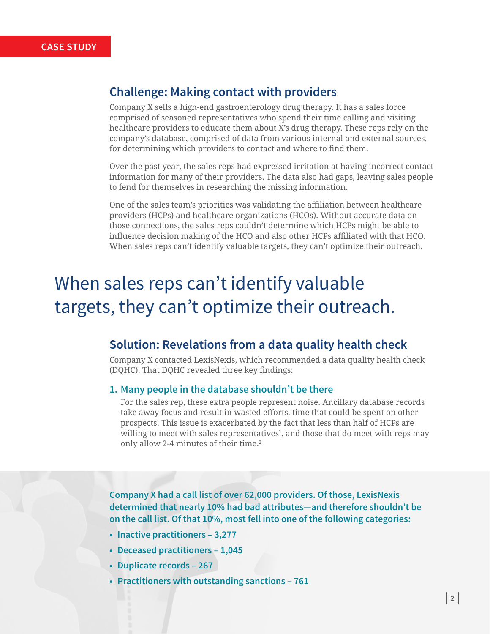## **Challenge: Making contact with providers**

Company X sells a high-end gastroenterology drug therapy. It has a sales force comprised of seasoned representatives who spend their time calling and visiting healthcare providers to educate them about X's drug therapy. These reps rely on the company's database, comprised of data from various internal and external sources, for determining which providers to contact and where to find them.

Over the past year, the sales reps had expressed irritation at having incorrect contact information for many of their providers. The data also had gaps, leaving sales people to fend for themselves in researching the missing information.

One of the sales team's priorities was validating the affiliation between healthcare providers (HCPs) and healthcare organizations (HCOs). Without accurate data on those connections, the sales reps couldn't determine which HCPs might be able to influence decision making of the HCO and also other HCPs affiliated with that HCO. When sales reps can't identify valuable targets, they can't optimize their outreach.

# When sales reps can't identify valuable targets, they can't optimize their outreach.

## **Solution: Revelations from a data quality health check**

Company X contacted LexisNexis, which recommended a data quality health check (DQHC). That DQHC revealed three key findings:

#### **1. Many people in the database shouldn't be there**

For the sales rep, these extra people represent noise. Ancillary database records take away focus and result in wasted efforts, time that could be spent on other prospects. This issue is exacerbated by the fact that less than half of HCPs are willing to meet with sales representatives $^{\rm l}$ , and those that do meet with reps may only allow 2-4 minutes of their time.<sup>2</sup>

**Company X had a call list of over 62,000 providers. Of those, LexisNexis determined that nearly 10% had bad attributes—and therefore shouldn't be on the call list. Of that 10%, most fell into one of the following categories:**

- **• Inactive practitioners 3,277**
- **• Deceased practitioners 1,045**
- **• Duplicate records 267**
- **• Practitioners with outstanding sanctions 761**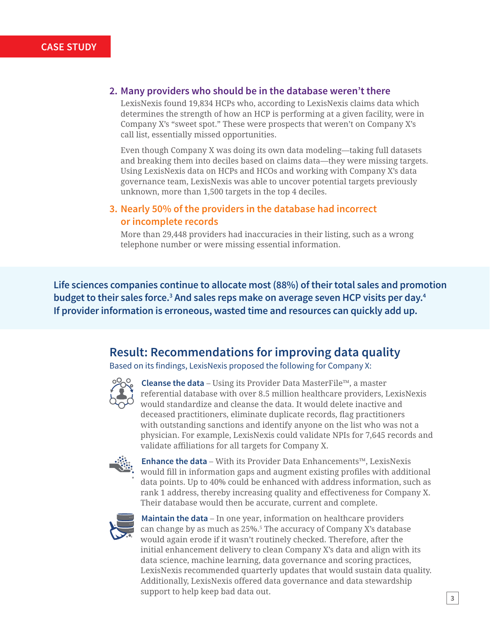#### **2. Many providers who should be in the database weren't there**

LexisNexis found 19,834 HCPs who, according to LexisNexis claims data which determines the strength of how an HCP is performing at a given facility, were in Company X's "sweet spot." These were prospects that weren't on Company X's call list, essentially missed opportunities.

Even though Company X was doing its own data modeling—taking full datasets and breaking them into deciles based on claims data—they were missing targets. Using LexisNexis data on HCPs and HCOs and working with Company X's data governance team, LexisNexis was able to uncover potential targets previously unknown, more than 1,500 targets in the top 4 deciles.

### **3. Nearly 50% of the providers in the database had incorrect or incomplete records**

More than 29,448 providers had inaccuracies in their listing, such as a wrong telephone number or were missing essential information.

**Life sciences companies continue to allocate most (88%) of their total sales and promotion**  budget to their sales force.<sup>3</sup> And sales reps make on average seven HCP visits per day.<sup>4</sup> **If provider information is erroneous, wasted time and resources can quickly add up.** 

## **Result: Recommendations for improving data quality**

Based on its findings, LexisNexis proposed the following for Company X:



 **Cleanse the data** – Using its Provider Data MasterFile™, a master referential database with over 8.5 million healthcare providers, LexisNexis would standardize and cleanse the data. It would delete inactive and deceased practitioners, eliminate duplicate records, flag practitioners with outstanding sanctions and identify anyone on the list who was not a physician. For example, LexisNexis could validate NPIs for 7,645 records and validate affiliations for all targets for Company X.



 **Enhance the data** – With its Provider Data Enhancements™, LexisNexis would fill in information gaps and augment existing profiles with additional data points. Up to 40% could be enhanced with address information, such as rank 1 address, thereby increasing quality and effectiveness for Company X. Their database would then be accurate, current and complete.



 **Maintain the data** – In one year, information on healthcare providers can change by as much as 25%.5 The accuracy of Company X's database would again erode if it wasn't routinely checked. Therefore, after the initial enhancement delivery to clean Company X's data and align with its data science, machine learning, data governance and scoring practices, LexisNexis recommended quarterly updates that would sustain data quality. Additionally, LexisNexis offered data governance and data stewardship support to help keep bad data out.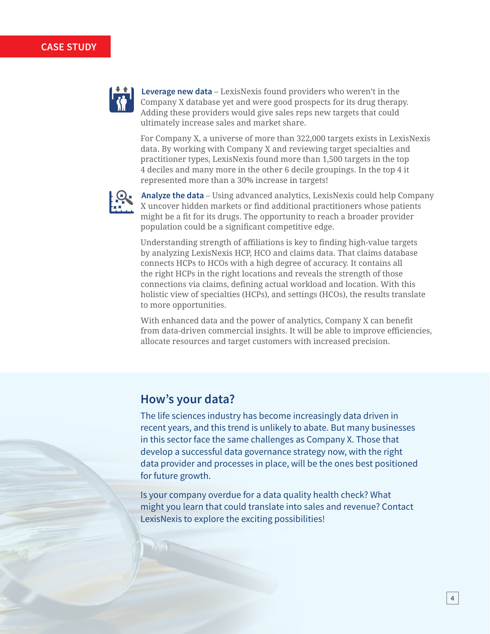

 **Leverage new data** – LexisNexis found providers who weren't in the Company X database yet and were good prospects for its drug therapy. Adding these providers would give sales reps new targets that could ultimately increase sales and market share.

For Company X, a universe of more than 322,000 targets exists in LexisNexis data. By working with Company X and reviewing target specialties and practitioner types, LexisNexis found more than 1,500 targets in the top 4 deciles and many more in the other 6 decile groupings. In the top 4 it represented more than a 30% increase in targets!



 **Analyze the data** – Using advanced analytics, LexisNexis could help Company X uncover hidden markets or find additional practitioners whose patients might be a fit for its drugs. The opportunity to reach a broader provider population could be a significant competitive edge.

Understanding strength of affiliations is key to finding high-value targets by analyzing LexisNexis HCP, HCO and claims data. That claims database connects HCPs to HCOs with a high degree of accuracy. It contains all the right HCPs in the right locations and reveals the strength of those connections via claims, defining actual workload and location. With this holistic view of specialties (HCPs), and settings (HCOs), the results translate to more opportunities.

With enhanced data and the power of analytics, Company X can benefit from data-driven commercial insights. It will be able to improve efficiencies, allocate resources and target customers with increased precision.

## **How's your data?**

The life sciences industry has become increasingly data driven in recent years, and this trend is unlikely to abate. But many businesses in this sector face the same challenges as Company X. Those that develop a successful data governance strategy now, with the right data provider and processes in place, will be the ones best positioned for future growth.

Is your company overdue for a data quality health check? What might you learn that could translate into sales and revenue? Contact LexisNexis to explore the exciting possibilities!